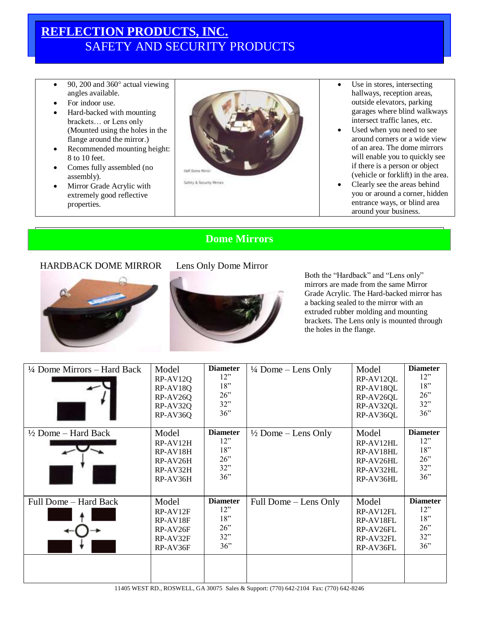## **REFLECTION PRODUCTS, INC.** SAFETY AND SECURITY PRODUCTS

- 90, 200 and  $360^\circ$  actual viewing angles available.
- For indoor use.
- Hard-backed with mounting brackets… or Lens only (Mounted using the holes in the flange around the mirror.)
- Recommended mounting height: 8 to 10 feet.
- Comes fully assembled (no assembly).
- Mirror Grade Acrylic with extremely good reflective properties.



- Use in stores, intersecting hallways, reception areas, outside elevators, parking garages where blind walkways intersect traffic lanes, etc.
- Used when you need to see around corners or a wide view of an area. The dome mirrors will enable you to quickly see if there is a person or object (vehicle or forklift) in the area.
- Clearly see the areas behind you or around a corner, hidden entrance ways, or blind area around your business.

## **Dome Mirrors**

## HARDBACK DOME MIRROR Lens Only Dome Mirror



Both the "Hardback" and "Lens only" mirrors are made from the same Mirror Grade Acrylic. The Hard-backed mirror has a backing sealed to the mirror with an extruded rubber molding and mounting brackets. The Lens only is mounted through the holes in the flange.

| 1/4 Dome Mirrors – Hard Back   | Model<br>RP-AV12Q<br>RP-AV18Q<br>RP-AV26Q<br>RP-AV32Q<br>RP-AV36Q     | <b>Diameter</b><br>12"<br>18"<br>$26$ "<br>32"<br>36" | $\frac{1}{4}$ Dome – Lens Only | Model<br>RP-AV12QL<br>RP-AV18QL<br>RP-AV26QL<br>RP-AV32QL<br>RP-AV36QL | <b>Diameter</b><br>12"<br>18"<br>26"<br>32"<br>36" |
|--------------------------------|-----------------------------------------------------------------------|-------------------------------------------------------|--------------------------------|------------------------------------------------------------------------|----------------------------------------------------|
| $\frac{1}{2}$ Dome – Hard Back | Model<br>RP-AV12H<br>RP-AV18H<br>RP-AV26H<br>RP-AV32H<br>RP-AV36H     | <b>Diameter</b><br>12"<br>18"<br>26"<br>32"<br>36"    | $\frac{1}{2}$ Dome – Lens Only | Model<br>RP-AV12HL<br>RP-AV18HL<br>RP-AV26HL<br>RP-AV32HL<br>RP-AV36HL | <b>Diameter</b><br>12"<br>18"<br>26"<br>32"<br>36" |
| Full Dome – Hard Back          | Model<br>$RP-AV12F$<br>RP-AV18F<br>$RP-AV26F$<br>RP-AV32F<br>RP-AV36F | <b>Diameter</b><br>12"<br>18"<br>26"<br>32"<br>36"    | Full Dome – Lens Only          | Model<br>RP-AV12FL<br>RP-AV18FL<br>RP-AV26FL<br>RP-AV32FL<br>RP-AV36FL | <b>Diameter</b><br>12"<br>18"<br>26"<br>32"<br>36" |